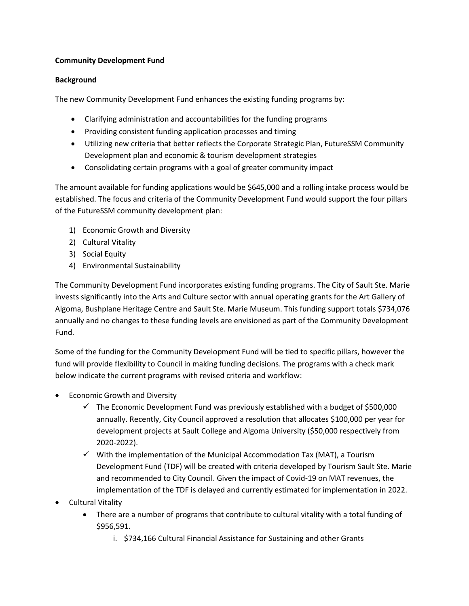## **Community Development Fund**

## **Background**

The new Community Development Fund enhances the existing funding programs by:

- Clarifying administration and accountabilities for the funding programs
- Providing consistent funding application processes and timing
- Utilizing new criteria that better reflects the Corporate Strategic Plan, FutureSSM Community Development plan and economic & tourism development strategies
- Consolidating certain programs with a goal of greater community impact

The amount available for funding applications would be \$645,000 and a rolling intake process would be established. The focus and criteria of the Community Development Fund would support the four pillars of the FutureSSM community development plan:

- 1) Economic Growth and Diversity
- 2) Cultural Vitality
- 3) Social Equity
- 4) Environmental Sustainability

The Community Development Fund incorporates existing funding programs. The City of Sault Ste. Marie invests significantly into the Arts and Culture sector with annual operating grants for the Art Gallery of Algoma, Bushplane Heritage Centre and Sault Ste. Marie Museum. This funding support totals \$734,076 annually and no changes to these funding levels are envisioned as part of the Community Development Fund.

Some of the funding for the Community Development Fund will be tied to specific pillars, however the fund will provide flexibility to Council in making funding decisions. The programs with a check mark below indicate the current programs with revised criteria and workflow:

- Economic Growth and Diversity
	- $\checkmark$  The Economic Development Fund was previously established with a budget of \$500,000 annually. Recently, City Council approved a resolution that allocates \$100,000 per year for development projects at Sault College and Algoma University (\$50,000 respectively from 2020-2022).
	- $\checkmark$  With the implementation of the Municipal Accommodation Tax (MAT), a Tourism Development Fund (TDF) will be created with criteria developed by Tourism Sault Ste. Marie and recommended to City Council. Given the impact of Covid-19 on MAT revenues, the implementation of the TDF is delayed and currently estimated for implementation in 2022.
- Cultural Vitality
	- There are a number of programs that contribute to cultural vitality with a total funding of \$956,591.
		- i. \$734,166 Cultural Financial Assistance for Sustaining and other Grants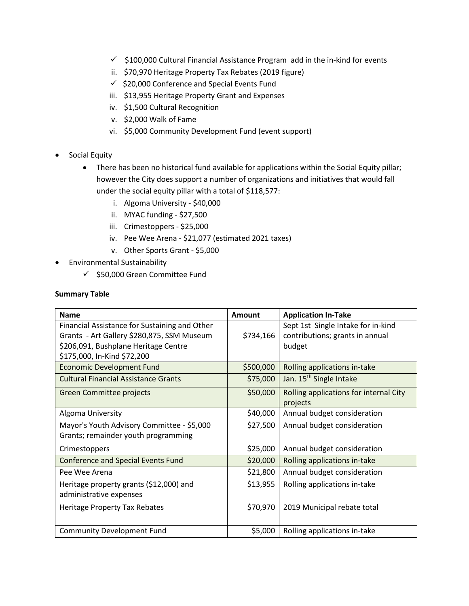- $\checkmark$  \$100,000 Cultural Financial Assistance Program add in the in-kind for events
- ii. \$70,970 Heritage Property Tax Rebates (2019 figure)
- $\checkmark$  \$20,000 Conference and Special Events Fund
- iii. \$13,955 Heritage Property Grant and Expenses
- iv. \$1,500 Cultural Recognition
- v. \$2,000 Walk of Fame
- vi. \$5,000 Community Development Fund (event support)
- Social Equity
	- There has been no historical fund available for applications within the Social Equity pillar; however the City does support a number of organizations and initiatives that would fall under the social equity pillar with a total of \$118,577:
		- i. Algoma University \$40,000
		- ii. MYAC funding \$27,500
		- iii. Crimestoppers \$25,000
		- iv. Pee Wee Arena \$21,077 (estimated 2021 taxes)
		- v. Other Sports Grant \$5,000
- Environmental Sustainability
	- $\checkmark$  \$50,000 Green Committee Fund

## **Summary Table**

| <b>Name</b>                                                                                                                                                        | Amount    | <b>Application In-Take</b>                                                      |
|--------------------------------------------------------------------------------------------------------------------------------------------------------------------|-----------|---------------------------------------------------------------------------------|
| Financial Assistance for Sustaining and Other<br>Grants - Art Gallery \$280,875, SSM Museum<br>\$206,091, Bushplane Heritage Centre<br>\$175,000, In-Kind \$72,200 | \$734,166 | Sept 1st Single Intake for in-kind<br>contributions; grants in annual<br>budget |
| <b>Economic Development Fund</b>                                                                                                                                   | \$500,000 | Rolling applications in-take                                                    |
| <b>Cultural Financial Assistance Grants</b>                                                                                                                        | \$75,000  | Jan. 15 <sup>th</sup> Single Intake                                             |
| Green Committee projects                                                                                                                                           | \$50,000  | Rolling applications for internal City<br>projects                              |
| Algoma University                                                                                                                                                  | \$40,000  | Annual budget consideration                                                     |
| Mayor's Youth Advisory Committee - \$5,000<br>Grants; remainder youth programming                                                                                  | \$27,500  | Annual budget consideration                                                     |
| Crimestoppers                                                                                                                                                      | \$25,000  | Annual budget consideration                                                     |
| <b>Conference and Special Events Fund</b>                                                                                                                          | \$20,000  | Rolling applications in-take                                                    |
| Pee Wee Arena                                                                                                                                                      | \$21,800  | Annual budget consideration                                                     |
| Heritage property grants (\$12,000) and<br>administrative expenses                                                                                                 | \$13,955  | Rolling applications in-take                                                    |
| <b>Heritage Property Tax Rebates</b>                                                                                                                               | \$70,970  | 2019 Municipal rebate total                                                     |
| <b>Community Development Fund</b>                                                                                                                                  | \$5,000   | Rolling applications in-take                                                    |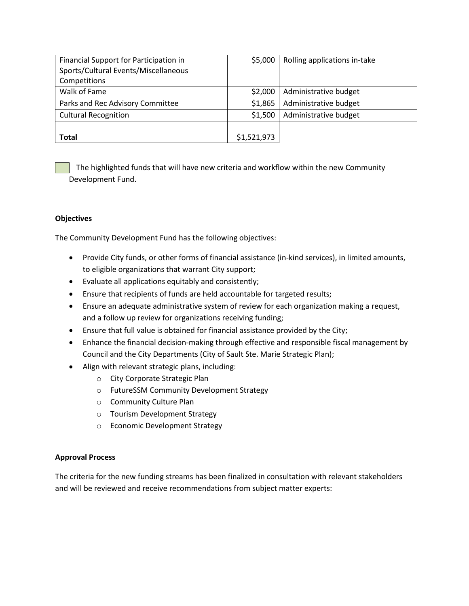| Financial Support for Participation in<br>Sports/Cultural Events/Miscellaneous<br>Competitions | \$5,000     | Rolling applications in-take |
|------------------------------------------------------------------------------------------------|-------------|------------------------------|
| Walk of Fame                                                                                   | \$2,000     | Administrative budget        |
| Parks and Rec Advisory Committee                                                               | \$1,865     | Administrative budget        |
| <b>Cultural Recognition</b>                                                                    | \$1,500     | Administrative budget        |
| <b>Total</b>                                                                                   | \$1,521,973 |                              |

The highlighted funds that will have new criteria and workflow within the new Community Development Fund.

#### **Objectives**

The Community Development Fund has the following objectives:

- Provide City funds, or other forms of financial assistance (in-kind services), in limited amounts, to eligible organizations that warrant City support;
- Evaluate all applications equitably and consistently;
- Ensure that recipients of funds are held accountable for targeted results;
- Ensure an adequate administrative system of review for each organization making a request, and a follow up review for organizations receiving funding;
- Ensure that full value is obtained for financial assistance provided by the City;
- Enhance the financial decision-making through effective and responsible fiscal management by Council and the City Departments (City of Sault Ste. Marie Strategic Plan);
- Align with relevant strategic plans, including:
	- o City Corporate Strategic Plan
	- o FutureSSM Community Development Strategy
	- o Community Culture Plan
	- o Tourism Development Strategy
	- o Economic Development Strategy

# **Approval Process**

The criteria for the new funding streams has been finalized in consultation with relevant stakeholders and will be reviewed and receive recommendations from subject matter experts: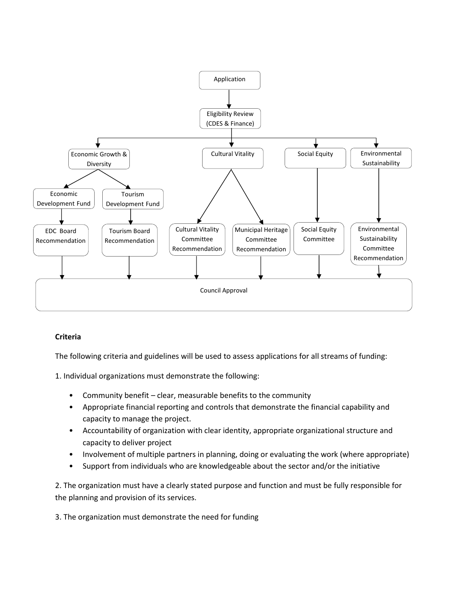

#### **Criteria**

The following criteria and guidelines will be used to assess applications for all streams of funding:

1. Individual organizations must demonstrate the following:

- Community benefit clear, measurable benefits to the community
- Appropriate financial reporting and controls that demonstrate the financial capability and capacity to manage the project.
- Accountability of organization with clear identity, appropriate organizational structure and capacity to deliver project
- Involvement of multiple partners in planning, doing or evaluating the work (where appropriate)
- Support from individuals who are knowledgeable about the sector and/or the initiative

2. The organization must have a clearly stated purpose and function and must be fully responsible for the planning and provision of its services.

3. The organization must demonstrate the need for funding